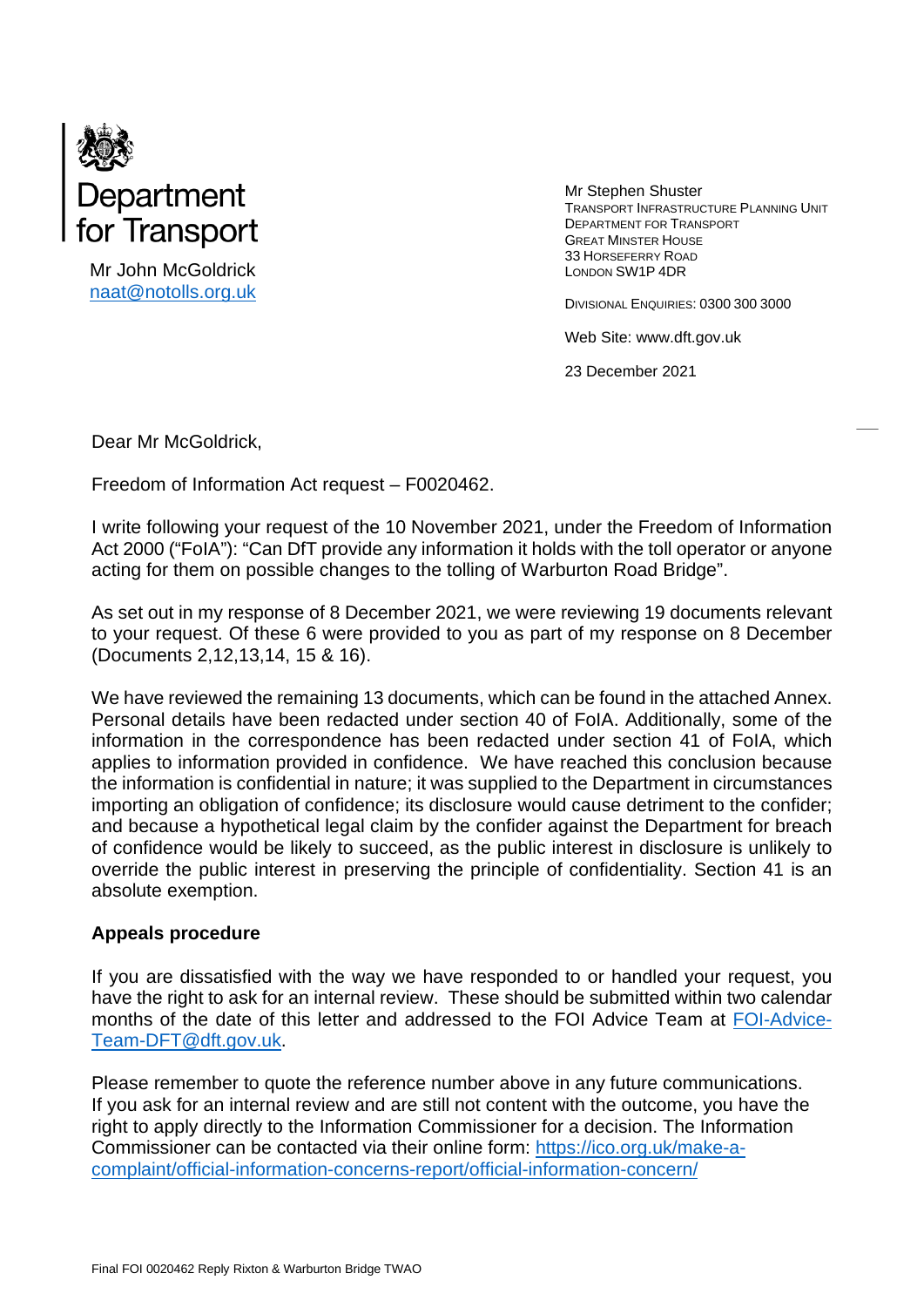

Mr John McGoldrick [naat@notolls.org.uk](mailto:naat@notolls.org.uk) Mr Stephen Shuster TRANSPORT INFRASTRUCTURE PLANNING UNIT DEPARTMENT FOR TRANSPORT GREAT MINSTER HOUSE 33 HORSEFERRY ROAD LONDON SW1P 4DR

DIVISIONAL ENQUIRIES: 0300 300 3000

Web Site: www.dft.gov.uk

23 December 2021

Dear Mr McGoldrick,

Freedom of Information Act request – F0020462.

I write following your request of the 10 November 2021, under the Freedom of Information Act 2000 ("FoIA"): "Can DfT provide any information it holds with the toll operator or anyone acting for them on possible changes to the tolling of Warburton Road Bridge".

As set out in my response of 8 December 2021, we were reviewing 19 documents relevant to your request. Of these 6 were provided to you as part of my response on 8 December (Documents 2,12,13,14, 15 & 16).

We have reviewed the remaining 13 documents, which can be found in the attached Annex. Personal details have been redacted under section 40 of FoIA. Additionally, some of the information in the correspondence has been redacted under section 41 of FoIA, which applies to information provided in confidence. We have reached this conclusion because the information is confidential in nature; it was supplied to the Department in circumstances importing an obligation of confidence; its disclosure would cause detriment to the confider; and because a hypothetical legal claim by the confider against the Department for breach of confidence would be likely to succeed, as the public interest in disclosure is unlikely to override the public interest in preserving the principle of confidentiality. Section 41 is an absolute exemption.

## **Appeals procedure**

If you are dissatisfied with the way we have responded to or handled your request, you have the right to ask for an internal review. These should be submitted within two calendar months of the date of this letter and addressed to the FOI Advice Team at [FOI-Advice-](mailto:FOI-Advice-Team-DFT@dft.gov.uk)[Team-DFT@dft.gov.uk.](mailto:FOI-Advice-Team-DFT@dft.gov.uk)

Please remember to quote the reference number above in any future communications. If you ask for an internal review and are still not content with the outcome, you have the right to apply directly to the Information Commissioner for a decision. The Information Commissioner can be contacted via their online form: [https://ico.org.uk/make-a](https://ico.org.uk/make-a-complaint/official-information-concerns-report/official-information-concern/)[complaint/official-information-concerns-report/official-information-concern/](https://ico.org.uk/make-a-complaint/official-information-concerns-report/official-information-concern/)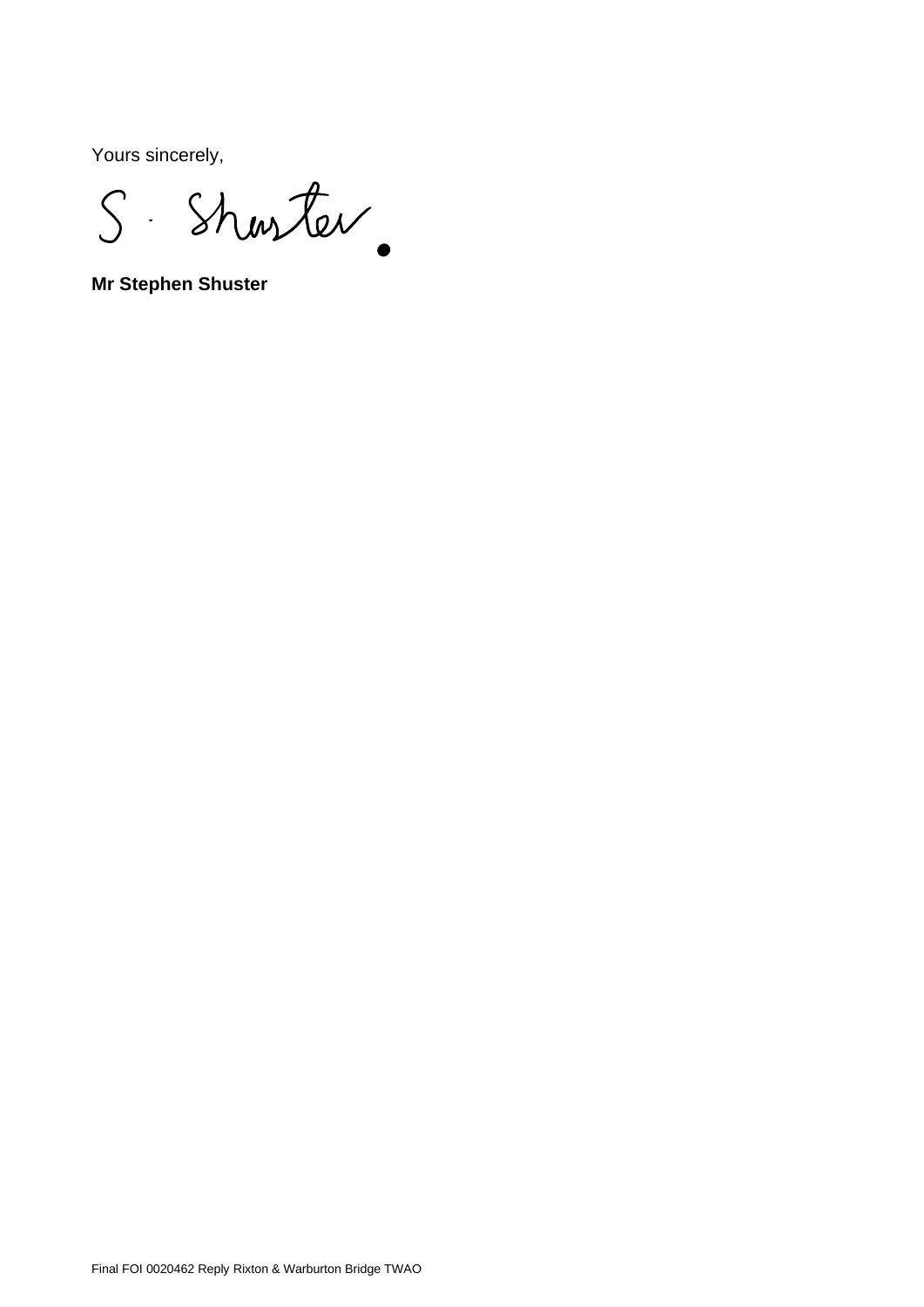Yours sincerely,

S. Shorter

**Mr Stephen Shuster**